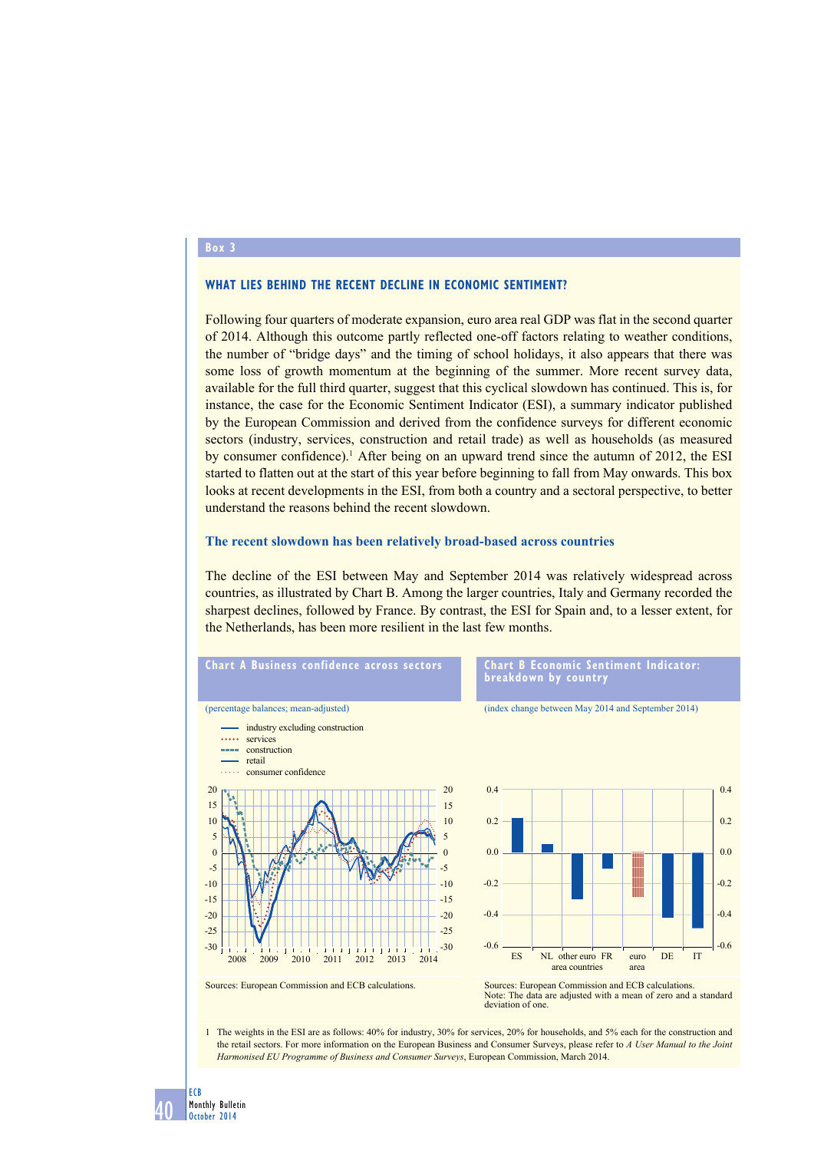#### **Box 3**

### **What lies behind the recent decline in economic sentiment?**

Following four quarters of moderate expansion, euro area real GDP was flat in the second quarter of 2014. Although this outcome partly reflected one-off factors relating to weather conditions, the number of "bridge days" and the timing of school holidays, it also appears that there was some loss of growth momentum at the beginning of the summer. More recent survey data, available for the full third quarter, suggest that this cyclical slowdown has continued. This is, for instance, the case for the Economic Sentiment Indicator (ESI), a summary indicator published by the European Commission and derived from the confidence surveys for different economic sectors (industry, services, construction and retail trade) as well as households (as measured by consumer confidence).<sup>1</sup> After being on an upward trend since the autumn of 2012, the ESI started to flatten out at the start of this year before beginning to fall from May onwards. This box looks at recent developments in the ESI, from both a country and a sectoral perspective, to better understand the reasons behind the recent slowdown.

#### **The recent slowdown has been relatively broad-based across countries**

The decline of the ESI between May and September 2014 was relatively widespread across countries, as illustrated by Chart B. Among the larger countries, Italy and Germany recorded the sharpest declines, followed by France. By contrast, the ESI for Spain and, to a lesser extent, for the Netherlands, has been more resilient in the last few months.



1 The weights in the ESI are as follows: 40% for industry, 30% for services, 20% for households, and 5% each for the construction and the retail sectors. For more information on the European Business and Consumer Surveys, please refer to *A User Manual to the Joint Harmonised EU Programme of Business and Consumer Surveys*, European Commission, March 2014.